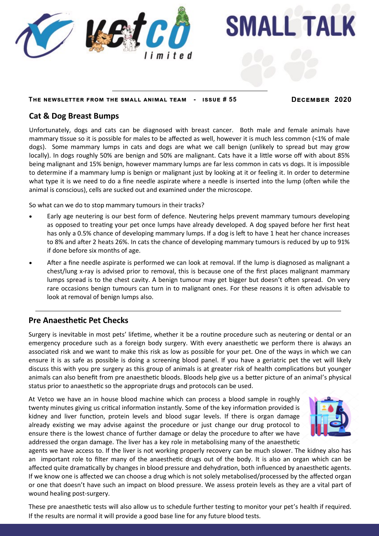

#### **The newsletter from the small animal team - issue # 55 December 2020**

**SMALL TALK** 

### **Cat & Dog Breast Bumps**

Unfortunately, dogs and cats can be diagnosed with breast cancer. Both male and female animals have mammary tissue so it is possible for males to be affected as well, however it is much less common (<1% of male dogs). Some mammary lumps in cats and dogs are what we call benign (unlikely to spread but may grow locally). In dogs roughly 50% are benign and 50% are malignant. Cats have it a little worse off with about 85% being malignant and 15% benign, however mammary lumps are far less common in cats vs dogs. It is impossible to determine if a mammary lump is benign or malignant just by looking at it or feeling it. In order to determine what type it is we need to do a fine needle aspirate where a needle is inserted into the lump (often while the animal is conscious), cells are sucked out and examined under the microscope.

So what can we do to stop mammary tumours in their tracks?

- Early age neutering is our best form of defence. Neutering helps prevent mammary tumours developing as opposed to treating your pet once lumps have already developed. A dog spayed before her first heat has only a 0.5% chance of developing mammary lumps. If a dog is left to have 1 heat her chance increases to 8% and after 2 heats 26%. In cats the chance of developing mammary tumours is reduced by up to 91% if done before six months of age.
- After a fine needle aspirate is performed we can look at removal. If the lump is diagnosed as malignant a chest/lung x-ray is advised prior to removal, this is because one of the first places malignant mammary lumps spread is to the chest cavity. A benign tumour may get bigger but doesn't often spread. On very rare occasions benign tumours can turn in to malignant ones. For these reasons it is often advisable to look at removal of benign lumps also.

### **Pre Anaesthetic Pet Checks**

Surgery is inevitable in most pets' lifetime, whether it be a routine procedure such as neutering or dental or an emergency procedure such as a foreign body surgery. With every anaesthetic we perform there is always an associated risk and we want to make this risk as low as possible for your pet. One of the ways in which we can ensure it is as safe as possible is doing a screening blood panel. If you have a geriatric pet the vet will likely discuss this with you pre surgery as this group of animals is at greater risk of health complications but younger animals can also benefit from pre anaesthetic bloods. Bloods help give us a better picture of an animal's physical status prior to anaesthetic so the appropriate drugs and protocols can be used.

At Vetco we have an in house blood machine which can process a blood sample in roughly twenty minutes giving us critical information instantly. Some of the key information provided is kidney and liver function, protein levels and blood sugar levels. If there is organ damage already existing we may advise against the procedure or just change our drug protocol to ensure there is the lowest chance of further damage or delay the procedure to after we have addressed the organ damage. The liver has a key role in metabolising many of the anaesthetic



agents we have access to. If the liver is not working properly recovery can be much slower. The kidney also has an important role to filter many of the anaesthetic drugs out of the body. It is also an organ which can be affected quite dramatically by changes in blood pressure and dehydration, both influenced by anaesthetic agents. If we know one is affected we can choose a drug which is not solely metabolised/processed by the affected organ or one that doesn't have such an impact on blood pressure. We assess protein levels as they are a vital part of wound healing post-surgery.

These pre anaesthetic tests will also allow us to schedule further testing to monitor your pet's health if required. If the results are normal it will provide a good base line for any future blood tests.